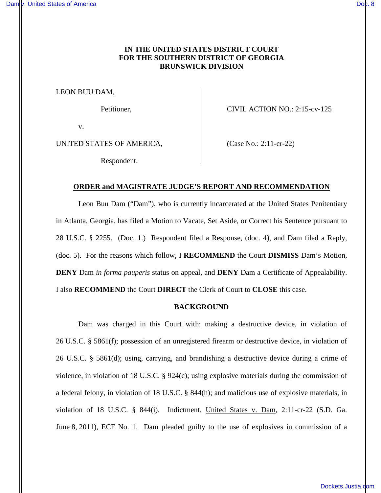# **IN THE UNITED STATES DISTRICT COURT FOR THE SOUTHERN DISTRICT OF GEORGIA BRUNSWICK DIVISION**

LEON BUU DAM,

Petitioner, CIVIL ACTION NO.: 2:15-cv-125

v.

UNITED STATES OF AMERICA, (Case No.: 2:11-cr-22)

Respondent.

### **ORDER and MAGISTRATE JUDGE'S REPORT AND RECOMMENDATION**

Leon Buu Dam ("Dam"), who is currently incarcerated at the United States Penitentiary in Atlanta, Georgia, has filed a Motion to Vacate, Set Aside, or Correct his Sentence pursuant to 28 U.S.C. § 2255. (Doc. 1.) Respondent filed a Response, (doc. 4), and Dam filed a Reply, (doc. 5). For the reasons which follow, I **RECOMMEND** the Court **DISMISS** Dam's Motion, **DENY** Dam *in forma pauperis* status on appeal, and **DENY** Dam a Certificate of Appealability. I also **RECOMMEND** the Court **DIRECT** the Clerk of Court to **CLOSE** this case.

### **BACKGROUND**

Dam was charged in this Court with: making a destructive device, in violation of 26 U.S.C. § 5861(f); possession of an unregistered firearm or destructive device, in violation of 26 U.S.C. § 5861(d); using, carrying, and brandishing a destructive device during a crime of violence, in violation of 18 U.S.C.  $\S$  924(c); using explosive materials during the commission of a federal felony, in violation of 18 U.S.C. § 844(h); and malicious use of explosive materials, in violation of 18 U.S.C. § 844(i). Indictment, United States v. Dam, 2:11-cr-22 (S.D. Ga. June 8, 2011), ECF No. 1. Dam pleaded guilty to the use of explosives in commission of a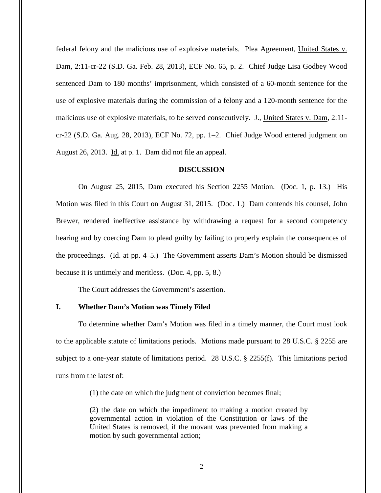federal felony and the malicious use of explosive materials. Plea Agreement, United States v. Dam, 2:11-cr-22 (S.D. Ga. Feb. 28, 2013), ECF No. 65, p. 2. Chief Judge Lisa Godbey Wood sentenced Dam to 180 months' imprisonment, which consisted of a 60-month sentence for the use of explosive materials during the commission of a felony and a 120-month sentence for the malicious use of explosive materials, to be served consecutively. J., United States v. Dam, 2:11 cr-22 (S.D. Ga. Aug. 28, 2013), ECF No. 72, pp. 1–2. Chief Judge Wood entered judgment on August 26, 2013. Id. at p. 1. Dam did not file an appeal.

#### **DISCUSSION**

On August 25, 2015, Dam executed his Section 2255 Motion. (Doc. 1, p. 13.) His Motion was filed in this Court on August 31, 2015. (Doc. 1.) Dam contends his counsel, John Brewer, rendered ineffective assistance by withdrawing a request for a second competency hearing and by coercing Dam to plead guilty by failing to properly explain the consequences of the proceedings. (Id. at pp. 4–5.) The Government asserts Dam's Motion should be dismissed because it is untimely and meritless. (Doc. 4, pp. 5, 8.)

The Court addresses the Government's assertion.

### **I. Whether Dam's Motion was Timely Filed**

To determine whether Dam's Motion was filed in a timely manner, the Court must look to the applicable statute of limitations periods. Motions made pursuant to 28 U.S.C. § 2255 are subject to a one-year statute of limitations period. 28 U.S.C. § 2255(f). This limitations period runs from the latest of:

(1) the date on which the judgment of conviction becomes final;

(2) the date on which the impediment to making a motion created by governmental action in violation of the Constitution or laws of the United States is removed, if the movant was prevented from making a motion by such governmental action;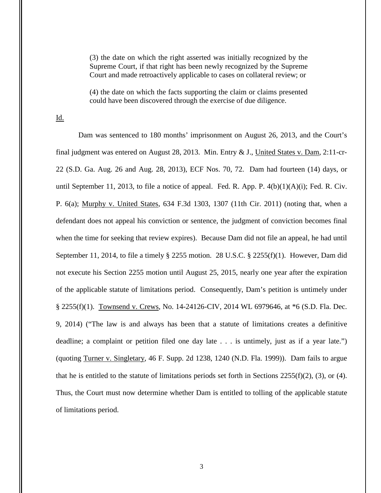(3) the date on which the right asserted was initially recognized by the Supreme Court, if that right has been newly recognized by the Supreme Court and made retroactively applicable to cases on collateral review; or

(4) the date on which the facts supporting the claim or claims presented could have been discovered through the exercise of due diligence.

Id.

Dam was sentenced to 180 months' imprisonment on August 26, 2013, and the Court's final judgment was entered on August 28, 2013. Min. Entry & J., United States v. Dam, 2:11-cr-22 (S.D. Ga. Aug. 26 and Aug. 28, 2013), ECF Nos. 70, 72. Dam had fourteen (14) days, or until September 11, 2013, to file a notice of appeal. Fed. R. App. P.  $4(b)(1)(A)(i)$ ; Fed. R. Civ. P. 6(a); Murphy v. United States, 634 F.3d 1303, 1307 (11th Cir. 2011) (noting that, when a defendant does not appeal his conviction or sentence, the judgment of conviction becomes final when the time for seeking that review expires). Because Dam did not file an appeal, he had until September 11, 2014, to file a timely § 2255 motion. 28 U.S.C. § 2255(f)(1). However, Dam did not execute his Section 2255 motion until August 25, 2015, nearly one year after the expiration of the applicable statute of limitations period. Consequently, Dam's petition is untimely under § 2255(f)(1). Townsend v. Crews, No. 14-24126-CIV, 2014 WL 6979646, at \*6 (S.D. Fla. Dec. 9, 2014) ("The law is and always has been that a statute of limitations creates a definitive deadline; a complaint or petition filed one day late . . . is untimely, just as if a year late.") (quoting Turner v. Singletary, 46 F. Supp. 2d 1238, 1240 (N.D. Fla. 1999)). Dam fails to argue that he is entitled to the statute of limitations periods set forth in Sections 2255(f)(2), (3), or (4). Thus, the Court must now determine whether Dam is entitled to tolling of the applicable statute of limitations period.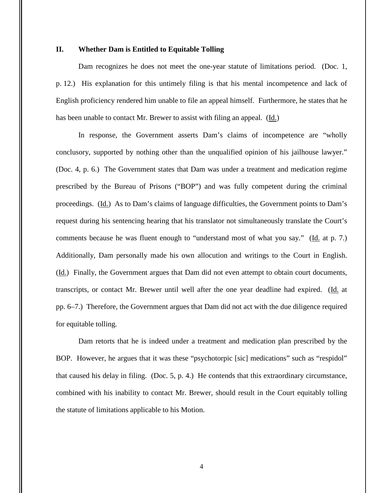## **II. Whether Dam is Entitled to Equitable Tolling**

Dam recognizes he does not meet the one-year statute of limitations period. (Doc. 1, p. 12.) His explanation for this untimely filing is that his mental incompetence and lack of English proficiency rendered him unable to file an appeal himself. Furthermore, he states that he has been unable to contact Mr. Brewer to assist with filing an appeal. (Id.)

In response, the Government asserts Dam's claims of incompetence are "wholly conclusory, supported by nothing other than the unqualified opinion of his jailhouse lawyer." (Doc. 4, p. 6.) The Government states that Dam was under a treatment and medication regime prescribed by the Bureau of Prisons ("BOP") and was fully competent during the criminal proceedings. (Id.) As to Dam's claims of language difficulties, the Government points to Dam's request during his sentencing hearing that his translator not simultaneously translate the Court's comments because he was fluent enough to "understand most of what you say." (Id. at p. 7.) Additionally, Dam personally made his own allocution and writings to the Court in English. (Id.) Finally, the Government argues that Dam did not even attempt to obtain court documents, transcripts, or contact Mr. Brewer until well after the one year deadline had expired. (Id. at pp. 6–7.) Therefore, the Government argues that Dam did not act with the due diligence required for equitable tolling.

Dam retorts that he is indeed under a treatment and medication plan prescribed by the BOP. However, he argues that it was these "psychotorpic [sic] medications" such as "respidol" that caused his delay in filing. (Doc. 5, p. 4.) He contends that this extraordinary circumstance, combined with his inability to contact Mr. Brewer, should result in the Court equitably tolling the statute of limitations applicable to his Motion.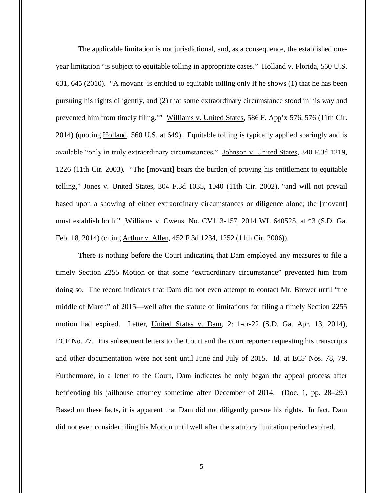The applicable limitation is not jurisdictional, and, as a consequence, the established oneyear limitation "is subject to equitable tolling in appropriate cases." Holland v. Florida, 560 U.S. 631, 645 (2010). "A movant 'is entitled to equitable tolling only if he shows (1) that he has been pursuing his rights diligently, and (2) that some extraordinary circumstance stood in his way and prevented him from timely filing."" Williams v. United States, 586 F. App'x 576, 576 (11th Cir. 2014) (quoting Holland, 560 U.S. at 649). Equitable tolling is typically applied sparingly and is available "only in truly extraordinary circumstances." Johnson v. United States, 340 F.3d 1219, 1226 (11th Cir. 2003). "The [movant] bears the burden of proving his entitlement to equitable tolling," Jones v. United States, 304 F.3d 1035, 1040 (11th Cir. 2002), "and will not prevail based upon a showing of either extraordinary circumstances or diligence alone; the [movant] must establish both." Williams v. Owens, No. CV113-157, 2014 WL 640525, at \*3 (S.D. Ga. Feb. 18, 2014) (citing Arthur v. Allen, 452 F.3d 1234, 1252 (11th Cir. 2006)).

There is nothing before the Court indicating that Dam employed any measures to file a timely Section 2255 Motion or that some "extraordinary circumstance" prevented him from doing so. The record indicates that Dam did not even attempt to contact Mr. Brewer until "the middle of March" of 2015—well after the statute of limitations for filing a timely Section 2255 motion had expired. Letter, United States v. Dam, 2:11-cr-22 (S.D. Ga. Apr. 13, 2014), ECF No. 77. His subsequent letters to the Court and the court reporter requesting his transcripts and other documentation were not sent until June and July of 2015. Id. at ECF Nos. 78, 79. Furthermore, in a letter to the Court, Dam indicates he only began the appeal process after befriending his jailhouse attorney sometime after December of 2014. (Doc. 1, pp. 28–29.) Based on these facts, it is apparent that Dam did not diligently pursue his rights. In fact, Dam did not even consider filing his Motion until well after the statutory limitation period expired.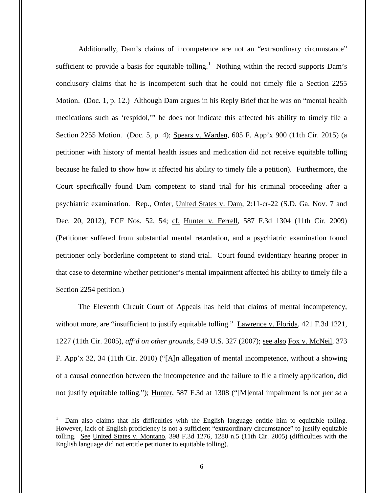Additionally, Dam's claims of incompetence are not an "extraordinary circumstance" sufficient to provide a basis for equitable tolling.<sup>1</sup> Nothing within the record supports Dam's conclusory claims that he is incompetent such that he could not timely file a Section 2255 Motion. (Doc. 1, p. 12.) Although Dam argues in his Reply Brief that he was on "mental health medications such as 'respidol,'" he does not indicate this affected his ability to timely file a Section 2255 Motion. (Doc. 5, p. 4); Spears v. Warden, 605 F. App'x 900 (11th Cir. 2015) (a petitioner with history of mental health issues and medication did not receive equitable tolling because he failed to show how it affected his ability to timely file a petition). Furthermore, the Court specifically found Dam competent to stand trial for his criminal proceeding after a psychiatric examination. Rep., Order, United States v. Dam, 2:11-cr-22 (S.D. Ga. Nov. 7 and Dec. 20, 2012), ECF Nos. 52, 54; cf. Hunter v. Ferrell, 587 F.3d 1304 (11th Cir. 2009) (Petitioner suffered from substantial mental retardation, and a psychiatric examination found petitioner only borderline competent to stand trial. Court found evidentiary hearing proper in that case to determine whether petitioner's mental impairment affected his ability to timely file a Section 2254 petition.)

The Eleventh Circuit Court of Appeals has held that claims of mental incompetency, without more, are "insufficient to justify equitable tolling." Lawrence v. Florida, 421 F.3d 1221, 1227 (11th Cir. 2005), *aff'd on other grounds*, 549 U.S. 327 (2007); see also Fox v. McNeil, 373 F. App'x 32, 34 (11th Cir. 2010) ("[A]n allegation of mental incompetence, without a showing of a causal connection between the incompetence and the failure to file a timely application, did not justify equitable tolling."); Hunter, 587 F.3d at 1308 ("[M]ental impairment is not *per se* a

 $\overline{a}$ 

<sup>1</sup> Dam also claims that his difficulties with the English language entitle him to equitable tolling. However, lack of English proficiency is not a sufficient "extraordinary circumstance" to justify equitable tolling. See United States v. Montano, 398 F.3d 1276, 1280 n.5 (11th Cir. 2005) (difficulties with the English language did not entitle petitioner to equitable tolling).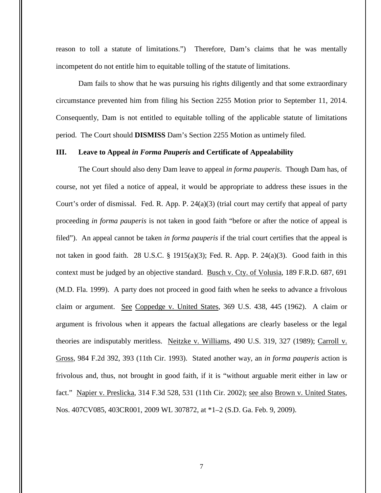reason to toll a statute of limitations.") Therefore, Dam's claims that he was mentally incompetent do not entitle him to equitable tolling of the statute of limitations.

Dam fails to show that he was pursuing his rights diligently and that some extraordinary circumstance prevented him from filing his Section 2255 Motion prior to September 11, 2014. Consequently, Dam is not entitled to equitable tolling of the applicable statute of limitations period. The Court should **DISMISS** Dam's Section 2255 Motion as untimely filed.

#### **III. Leave to Appeal** *in Forma Pauperis* **and Certificate of Appealability**

The Court should also deny Dam leave to appeal *in forma pauperis*. Though Dam has, of course, not yet filed a notice of appeal, it would be appropriate to address these issues in the Court's order of dismissal. Fed. R. App. P.  $24(a)(3)$  (trial court may certify that appeal of party proceeding *in forma pauperis* is not taken in good faith "before or after the notice of appeal is filed"). An appeal cannot be taken *in forma pauperis* if the trial court certifies that the appeal is not taken in good faith. 28 U.S.C. § 1915(a)(3); Fed. R. App. P. 24(a)(3). Good faith in this context must be judged by an objective standard. Busch v. Cty. of Volusia, 189 F.R.D. 687, 691 (M.D. Fla. 1999). A party does not proceed in good faith when he seeks to advance a frivolous claim or argument. See Coppedge v. United States, 369 U.S. 438, 445 (1962). A claim or argument is frivolous when it appears the factual allegations are clearly baseless or the legal theories are indisputably meritless. Neitzke v. Williams, 490 U.S. 319, 327 (1989); Carroll v. Gross, 984 F.2d 392, 393 (11th Cir. 1993). Stated another way, an *in forma pauperis* action is frivolous and, thus, not brought in good faith, if it is "without arguable merit either in law or fact." Napier v. Preslicka, 314 F.3d 528, 531 (11th Cir. 2002); see also Brown v. United States, Nos. 407CV085, 403CR001, 2009 WL 307872, at \*1–2 (S.D. Ga. Feb. 9, 2009).

7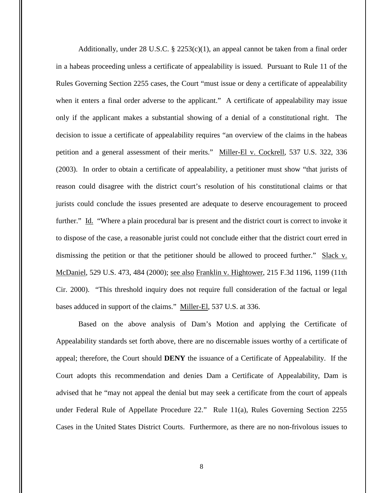Additionally, under 28 U.S.C.  $\S$  2253(c)(1), an appeal cannot be taken from a final order in a habeas proceeding unless a certificate of appealability is issued. Pursuant to Rule 11 of the Rules Governing Section 2255 cases, the Court "must issue or deny a certificate of appealability when it enters a final order adverse to the applicant." A certificate of appealability may issue only if the applicant makes a substantial showing of a denial of a constitutional right. The decision to issue a certificate of appealability requires "an overview of the claims in the habeas petition and a general assessment of their merits." Miller-El v. Cockrell, 537 U.S. 322, 336 (2003). In order to obtain a certificate of appealability, a petitioner must show "that jurists of reason could disagree with the district court's resolution of his constitutional claims or that jurists could conclude the issues presented are adequate to deserve encouragement to proceed further." Id. "Where a plain procedural bar is present and the district court is correct to invoke it to dispose of the case, a reasonable jurist could not conclude either that the district court erred in dismissing the petition or that the petitioner should be allowed to proceed further." Slack v. McDaniel, 529 U.S. 473, 484 (2000); see also Franklin v. Hightower, 215 F.3d 1196, 1199 (11th Cir. 2000). "This threshold inquiry does not require full consideration of the factual or legal bases adduced in support of the claims." Miller-El, 537 U.S. at 336.

Based on the above analysis of Dam's Motion and applying the Certificate of Appealability standards set forth above, there are no discernable issues worthy of a certificate of appeal; therefore, the Court should **DENY** the issuance of a Certificate of Appealability. If the Court adopts this recommendation and denies Dam a Certificate of Appealability, Dam is advised that he "may not appeal the denial but may seek a certificate from the court of appeals under Federal Rule of Appellate Procedure 22." Rule 11(a), Rules Governing Section 2255 Cases in the United States District Courts. Furthermore, as there are no non-frivolous issues to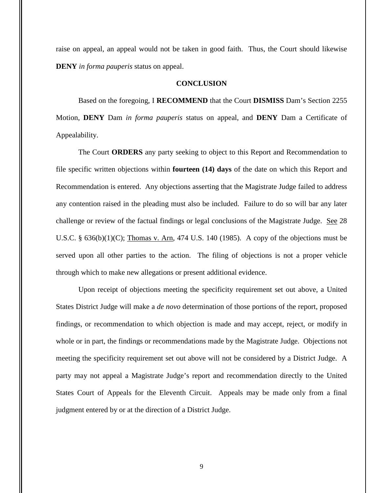raise on appeal, an appeal would not be taken in good faith. Thus, the Court should likewise **DENY** *in forma pauperis* status on appeal.

#### **CONCLUSION**

Based on the foregoing, I **RECOMMEND** that the Court **DISMISS** Dam's Section 2255 Motion, **DENY** Dam *in forma pauperis* status on appeal, and **DENY** Dam a Certificate of Appealability.

The Court **ORDERS** any party seeking to object to this Report and Recommendation to file specific written objections within **fourteen (14) days** of the date on which this Report and Recommendation is entered. Any objections asserting that the Magistrate Judge failed to address any contention raised in the pleading must also be included. Failure to do so will bar any later challenge or review of the factual findings or legal conclusions of the Magistrate Judge. See 28 U.S.C.  $\S$  636(b)(1)(C); Thomas v. Arn, 474 U.S. 140 (1985). A copy of the objections must be served upon all other parties to the action. The filing of objections is not a proper vehicle through which to make new allegations or present additional evidence.

Upon receipt of objections meeting the specificity requirement set out above, a United States District Judge will make a *de novo* determination of those portions of the report, proposed findings, or recommendation to which objection is made and may accept, reject, or modify in whole or in part, the findings or recommendations made by the Magistrate Judge. Objections not meeting the specificity requirement set out above will not be considered by a District Judge. A party may not appeal a Magistrate Judge's report and recommendation directly to the United States Court of Appeals for the Eleventh Circuit. Appeals may be made only from a final judgment entered by or at the direction of a District Judge.